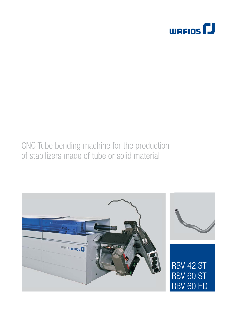

# CNC Tube bending machine for the production of stabilizers made of tube or solid material

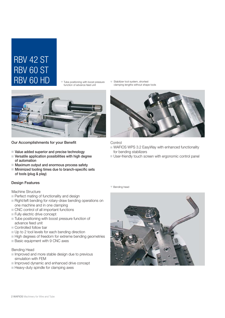# RBV 60 ST RBV 60 HD RBV 42 ST

 $\vee$  Tube positioning with boost pressure function of advance feed unit



### Our Accomplishments for your Benefit

- Value added superior and precise technology
- Versatile application possibilities with high degree of automation
- $\blacksquare$  Maximum output and enormous process safety
- $\blacksquare$  Minimized tooling times due to branch-specific sets of tools (plug & play)

## Design Features

### Machine Structure

- $\blacksquare$  Perfect mating of functionality and design
- Right/left bending for rotary-draw bending operations on one machine and in one clamping
- CNC control of all important functions
- Fully electric drive concept
- Tube positioning with boost pressure function of advance feed unit
- Controlled follow bar
- Up to 2 tool levels for each bending direction
- High degrees of freedom for extreme bending geometries
- **Basic equipment with 9 CNC axes**

### Bending Head

- $\blacksquare$  Improved and more stable design due to previous simulation with FEM
- Improved dynamic and enhanced drive concept
- Heavy-duty spindle for clamping axes

 Stabilizer tool system, shortest clamping lengths without shape tools



#### **Control**

- WAFIOS WPS 3.2 EasyWay with enhanced functionality for bending stabilizers
- User-friendly touch screen with ergonomic control panel

▼ Bending head

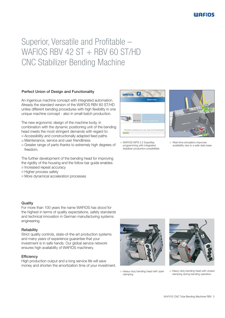# Superior, Versatile and Profitable – WAFIOS RBV 42 ST  $+$  RBV 60 ST/HD CNC Stabilizer Bending Machine

### Perfect Union of Design and Functionality

An ingenious machine concept with integrated automation. Already the standard version of the WAFIOS RBV 60 ST/HD unites different bending procedures with high flexibility in one unique machine concept - also in small-batch production.

The new ergonomic design of the machine body, in combination with the dynamic positioning unit of the bending head meets the most stringent demands with regard to: Accessibility and constructionally adapted feed paths

- Maintenance, service and user friendliness
- Greater range of parts thanks to extremely high degrees of freedom.

The further development of the bending head for improving the rigidity of the housing and the follow bar guide enables:

- Increased repeat accuracy
- **Higher process safety**
- More dynamical acceleration processes

### **Quality**

For more than 100 years the name WAFIOS has stood for the highest in terms of quality expectations, safety standards and technical innovation in German manufacturing systems engineering.

### **Reliability**

Strict quality controls, state-of-the-art production systems and many years of experience guarantee that your investment is in safe hands. Our global service network ensures high availability of WAFIOS machinery.

#### **Efficiency**

High production output and a long service life will save money and shorten the amortization time of your investment.



 WAFIOS WPS 3.2 EasyWay programming with integrated stabilizer production possibilities



△ Real-time simulation improves availability due to a safe data base



 Heavy-duty bending head with open clamping



A Heavy-duty bending head with closed clamping during bending operation